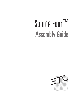# Assembly Guide Source Four™

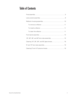## Table of Contents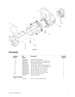

## Final assembly

| <b>Reference</b><br><b>Number</b> | Part<br><b>Number</b> | <b>Description</b>                          | <b>Quantity</b><br><b>Required</b> |
|-----------------------------------|-----------------------|---------------------------------------------|------------------------------------|
|                                   | 7060A2008             | Lamp socket assembly                        |                                    |
|                                   | 7060A2011             | Rear housing assembly, single clutch        |                                    |
| 2Α                                | 7060A2020             | Rear housing assembly, double clutch        |                                    |
| 3                                 | 7060A2012             | Front barrel assembly                       |                                    |
| 4                                 | 7060A2000-K           | 5° lens tube, with knob (See page 14)       |                                    |
| 5                                 | 7060A2001-K           | 10° lens tube, with knob (See page 13)      |                                    |
| 6                                 | 7060A2002-K           | 19 $^{\circ}$ lens tube (6 x 16), with knob |                                    |
|                                   | 7060A2003-K           | $26^{\circ}$ lens tube (6 x 12), with knob  |                                    |
| 8                                 | 7060A2004-K           | $36^\circ$ lens tube (6 x 9), with knob     |                                    |
| 9                                 | 7060A2005-K           | $50^\circ$ lens tube (4.5 x 6), with knob   |                                    |
| 10                                | 7060A4008-01          | Knob set with male insert                   |                                    |
| 11                                | HW5143                | Washer, flat fiber                          |                                    |
| <b>Optional equipment</b>         |                       |                                             |                                    |
| 12                                | HW5197                | Screw, $1/4-20 \times 5/8$ , black zinc     |                                    |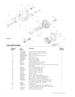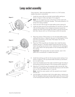## Lamp socket assembly



Tools required: Open-end adjustable wrench or a 7/16" socket, needle-nose pliers, screwdriver.

- 1. Install the screw (20) into the light socket baffle casting as shown in figure 3. (Also see figure 10 on page 9.)
	- **Note**: Do not install the screw if the fixture will be used with 77V lamps and ETC's Dimmer Doubler. This screw prevents 77V lamps from being installed.
- 2. Insert the bolt (19) through the light baffle socket casting (2).
- 3. Install the green ground wire assemblies (21 and 24) on the bolt (19) with the prongs on the crimped connectors toward the casting. Run both wires through the indent in the lip around the bolt hole. Secure with nut (12) and torque to 60 inch pounds.



- 4. Place the ceramic TP22 socket (11) into the light baffle socket casting (2) as shown in figure 6. Be sure it is well seated. Firmly push the connectors on the white TP22 leads (10) into the grooves in the socket.
- 5. Place the TP22 mica (9) over the leads, then install the lamp retainer spring (7). The lamp retainer spring secures the mica. Insert the spring one end at a time, making sure the rectangular slot in each side of the spring seats on the corresponding tab in the casting.

**Important**: If the spring does not seat correctly, coax it into place with a screwdriver or needle-nose pliers.

- 6. Install the bushing cup (5) into the housing socket casting (1) as shown in figure 5. The cup should slide smoothly up and down, but not side to side.
- 7. Insert the threaded end of the index hub (6) through the holes in the bushing cup and the back of the housing socket casting (1).
- 8. Slide the X-Y knob (3) over the exposed index hub bolt (6), then insert the wave washer (16) on the bolt and secure with the 9/16 hex nut (15). Hand tighten the X-Y knob (3).

**Note**: Install the wave washer with the upward curve toward the hex nut.

9. Lay the leads in the bottom half of the cable clamp, making sure that the fiberglass sleeving extends slightly past the screw holes in the housing socket casting, (install new sleeving if necessary)

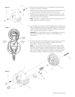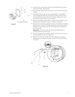

**Figure 9**

- 15. Using the four screws (25), attach the handle (26) to the lamp socket assembly. See figure 9.
- 16. Place the spring (8) on the protrusion on the inside of the index hub (6).
- 17. Insert bolt (19) through the light socket baffle (2), thread nut (12), through spring (8) and through the index hub (6) of the housing socket (1), joining the two castings. Make sure wires are not pinched between the two pieces.
- 18. Before proceeding, check again to make sure the wires are still positioned as indicated in figure 7. Adjust if necessary.
- 19. Press the two castings together firmly so the bottom of the light baffle (2) sits on top of the cable clamp (17), then install the X-Y lampset (3) and Z lamp knob (4). Hand tighten the knob all the way to the right.

**Important**: You must install Z knob as described above to ensure proper lamp focus travel.

- 20. Set the crossbar of the retainer clip (27) under the two hooks on the clip bracket as shown in figure 10.
- 21. Place the Tinnerman clip (28) over the retainer clip crossbar between the two hooks and press it down firmly until it snaps into place.



**Figure 10**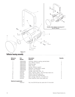

## Reflector housing assembly

| <b>Reference</b><br><b>Number</b> | Part<br><b>Number</b> | <b>Description</b><br><b>Required</b>              | <b>Quantity</b> |
|-----------------------------------|-----------------------|----------------------------------------------------|-----------------|
|                                   | 7060A3054             | Housing, reflector casting, painted black          |                 |
| 2                                 | 7060A3006             | Clip, reflector retainer                           |                 |
| 3                                 | 7060A4010             | Bushing, gate                                      |                 |
| 4                                 | 7060A3016             | Plate, clutch                                      |                 |
| 5                                 | 7060A3019             | Spring, reflector support                          |                 |
| 6                                 | 7060A4015             | Reflector, molded glass, coated                    |                 |
|                                   | 7060A3058             | Bracket, yoke, painted                             |                 |
| 8                                 | HW8144                | Handle, yoke knob, 5/16 - 18                       |                 |
| 9                                 | HW753                 | Rivet, machine, 3/16 x .720, flat head, black zinc | 2               |
| 10                                | HW5126                | Washer, flat, 5/16, black zinc                     |                 |
| 11                                | HW372                 | Screw, 8-32X1/4, PHPHMS B/Z                        | 2               |
| 12                                | HW5125                | Bolt, carriage, 5/16-18 x .75, black zinc          | 2               |
| 13                                | HW752                 | Rivet machine, 3/16 x 5/16, black zinc             |                 |

## **Optional equipment**

Nut, hex 5/16-18 (can be used with (11) hex bolt)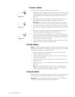#### To remove a reflector



**Figure 14**

Tools required: Two spare reflector retainer clips (2).

- 1. Wedge one arm of a spare retainer clip between the lip of one of the installed clips and the rim of the reflector, then slide the arm down between the installed clip and the reflector as shown in figure 12.
- 2. Insert the other arm of the spare clip between the other arm of the installed clip and the reflector, as shown in figure 13.

**Warning:** Do not slide the spare clip all the way in or it will be very difficult to remove…leave at least a quarter inch exposed.

- 3. Now slide the entire clip between the reflector and the installed clip as shown in figure 14. Remember, do not slide it all the way in.
- 4. Repeat this procedure with the second spare clip, inserting it between an adjacent installed clip and the reflector.
- 5. Turn the reflector housing casting over, so that the rear of the reflector is in view. Gently push on the reflector, toward the side of the housing where the extra clips were placed. The reflector will slip off to the side at an angle.
- 6. Turn the reflector housing casting back over and gently slide the reflector out from under the retaining clips.

#### To install a reflector

**Note:** The following assumes all four reflector retainer clips (2) have already been riveted to the reflector housing casting (1) and the gate bushings (3) installed on the retainer clips.

- 1. Place the reflector housing casting (1) on a flat work surface with the large opening facing up.
- 2. Install the reflector support spring (5) in the circular opening at the base of the casting.
- 3. Insert the reflector (6) at an angle, under any three legs of the reflector's clips.
- 4. Gently press down on the reflector until it snaps into place under the clips.

**Note:** If the reflector does not snap in, turn the casting over. Gently pull on the side of the reflector that has not snapped in until the rest of the reflector slides into place.

#### To clean the reflector

Remove dust with a blast of oil-free air or wipe with a clean, lint-free cloth using alcohol or distilled water (alcohol is recommended).

**Warning:** Do not use glass and window cleaners on the reflector. Chemicals in these cleaners will stain the reflector.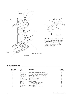



**Note:** The bottom divider plate (4) has four dimples punched into the surface; the top plate (6) has none. The middle divider plates (5) are noticeably thinner-gauge metal than the other two.

#### Front barrel assembly

| <b>Reference</b><br><b>Number</b> | Part<br><b>Number</b> | <b>Description</b>                    | <b>Quantity</b><br><b>Required</b> |
|-----------------------------------|-----------------------|---------------------------------------|------------------------------------|
|                                   | 7060A3052             | Front barrel, top casting, painted    |                                    |
|                                   | 7060A3053             | Front barrel, bottom casting, painted |                                    |
| 3                                 | 7060A2025             | Shutter blade assembly, 22 gauge      | 4                                  |
| 4                                 | 7060A3001-01          | Plate, divider with dimples (bottom)  | 2                                  |
| 5                                 | 7060A3003             | Plate, gate (middle)                  |                                    |
| 6                                 | 7060A3001-02          | Plate, divider (top)                  |                                    |
|                                   | <b>HW754</b>          | Shutter spring                        | 4                                  |
| 8                                 | HW370                 | Nut, Ny-lok, 8/32, black zinc         | 4                                  |
| 9                                 | HW3154                | Screw, $8/32 \times 5/8$ , Taptite    | 4                                  |
| 10                                | 7060A3045             | Cover, iris slot                      |                                    |
| 11                                | HW232                 | Screw, $6-32 \times 1/4$ , black zinc | 2                                  |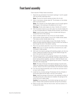## Front barrel assembly

Tools required: Phillips head screwdriver.

1. Stand the top and bottom front barrel castings (1 and 2) upright with the shutter openings down.

**Note:** The top front barrel casting contains the iris slot.

2. Slide in the bottom divider plate (4). The dimples on the divider plate must point down.

**Note:** The notches on the divider plates must fit snugly against the flanges in the casting so the plates do not move.

**Warning:** Divider plate edges are sharp. Handle with caution!

3. With the bottom barrel to your left, place two shutter blades (3) on top of dimple plate (4), handles facing outward, up and down.

**Note:** Install shutter blades with the rounded side facing up toward the front of the casting.

- 4. Place a divider plate (5) on top of the two shutter blades.
- 5. Place another shutter blade on top of the middle divider plates. Then place another divider plate on top.
- 6. Place the fourth shutter blade on top of the divider. Pull the blade and plate assembly slightly forward to allow the handle to slip through the slot in the bottom casting.
- 7. Place the top divider plate (6) on top of the fourth shutter blade.

**Note:** Make sure no shutter assembly components are under the pattern holder guides.

- 8. With both front barrel castings still standing upright, join the two halves, sliding the handle of the top shutter blade through the slot in the top front barrel casting (1).
- 9. Starting at the bottom of the castings (closest to the shutters), use four PHMS screws (9) and Ny-lok nuts (8) to fasten the front barrel casting halves together, as shown. Hold the Ny-lok nuts tight against the casting while tightening the screws. Torque the screws to 25 inch/pounds.

**Note:** The tops of the two front barrel castings must be even. Adjust as necessary before completely tightening the nuts and screws. Failure to do this could interfere with the barrel rotation.

- 10. Turn the front barrel assembly over so that the narrower end is on your work surface.
- 11. Install the four shutter springs (7) between the four dimples in the shutter plate and the tabs in the lip of the casting.

**Note:** Install the springs at the joints in the castings on either of the tabs at the joint. Once they are installed, the springs at the joints will sit at a slight angle.

**Caution:** During assembly, the shutter springs can pop out of place. Always wear protective eyewear during this procedure.

12. Place iris slot cover (10) over the iris slot. Use two screws (11) to secure the cover.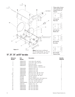

## 19°, 26°, 36°, and 50° lens tubes

| <b>Reference</b><br><b>Number</b> | Part<br><b>Number</b> | <b>Description</b>                          | <b>Quantity</b><br><b>Required</b> |
|-----------------------------------|-----------------------|---------------------------------------------|------------------------------------|
|                                   | 7060A3102             | Lens tube, left, painted                    |                                    |
| 2                                 | 7060A3104             | Lens tube, right, painted                   |                                    |
| 3                                 | 7060A4009             | Bushing, guide                              | 4                                  |
| 4                                 | 7060A4012             | Pad lens support - asphere                  | 5                                  |
|                                   |                       | Pad lens support - meniscus set             | 10                                 |
| 5                                 | 7060A4002             | Aspheric lens, 19°                          |                                    |
| 6                                 | 7060A4001             | Aspheric lens, 26°                          |                                    |
| 7                                 | 7060A4004             | Aspheric lens, 50°                          |                                    |
| 8                                 | 7060A4020             | Meniscus lens, 36° set, front               |                                    |
| 8A                                | 7060A4021             | Bi-convex lens, 36° set, rear               |                                    |
| 9                                 | 7060A3079             | Clip, gel retainer, 90° bend                |                                    |
| 10                                | <b>HW750</b>          | Spring, retainer                            |                                    |
| 11                                | HW369                 | Screw, PHMS, $8-32 \times 3/4$ , black zinc |                                    |
| $12 \overline{ }$                 | <b>HW370</b>          | Nut, Ny-Lok, 8/32, black zinc               | 4                                  |
| 13                                | HW534                 | Nut, hex, 1/4-20, black zinc                |                                    |
| 14                                | 7060A4008-01          | Knob set with male insert                   |                                    |
| 15                                | HW5134                | Washer, flat, 1/4                           |                                    |
| 16                                | 7060A4033             | $19^\circ$ lens tube label                  |                                    |
| 17                                | 7060A4034             | 26° lens tube label                         |                                    |
| 18                                | 7060A4035             | 36° lens tube label                         |                                    |
| 19                                | 7060A4036             | 50° lens tube label                         |                                    |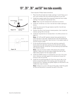## 19°, 26°, 36°, and 50° lens tube assembly





Tools required: Phillips head screwdriver.

- 1. Place the left and right lens holder castings (1 and 2) face up on your work surface with the colorframe grooves to your left.
- 2. Install lens support pads (4) as required inside both lens holder castings. Four pads are required per lens.

**Note:** Pads must be inserted short side down as shown.

- 3. Install the 1/4-20 hex nut (13) in the left lens holder casting as shown.
- 4. Install the short end of the gel retainer clip (9) in the left lens holder casting (1).
- 5. Position the clip in the forward, locked position, then install the retainer spring (10) on the clip.
- 6. Install the required lens (or lenses) (5,6,7, 8 or 8A) as shown on page 10.

**Note:** 19°, 26° and 50° aspheric lenses have painted dots to orient the lens in the tube. Install the lens with the painted dot facing the front of the tube. Seat the lens in the support pads so the dot remains visible.

7. Fit the clip (9) and spring (10) into the right lens casting (2). Gently place the right lens casting onto the left lens casting, making sure that the 1/4-20 hex nut and retaining clip assembly stay properly seated.

**Note:** Look into the lens holder while placing the castings together. Make sure the lens stays straight and that the top edge seats properly into the support pads.

- 8. Install the PHMS screws (11) and Ny-lok nuts (12) in four locations. Hold the nuts tight against the casting and torque the screws to 25 inch pounds.
- 9. Install the six bushing guides (3). Point the narrow tab on the bottom toward the back of the casting; point the square tab toward the front. Squeeze the guides slightly so they bend in the middle then snap into place.

**Note:** If there is a curve in the top of the guide, install the guide so that the flat portion is towards the back of the tube.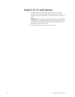### Cleaning 19°, 26°, 36°, and 50° glass lenses

1. Dampen a clean, lint-free cloth with vinegar or household ammonia. You may use water, but it leave spots. You can remove the spots by polishing the lens gently with a clean, dry cloth.

**Warning:** Never use glass and window cleaner or any abrasive material to clean the lens. Glass and window cleaners will stain the lens surface. Abrasive materials (such as steel wool) will damage the surface of the lens.

2. Starting from the center, gently wipe the lens.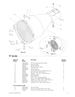

| <b>Reference</b><br><b>Number</b> | Part<br><b>Number</b> | <b>Description</b>                         | <b>Quantity</b><br><b>Required</b> |
|-----------------------------------|-----------------------|--------------------------------------------|------------------------------------|
|                                   | 7060A3096             | 10° lens tube assembly, painted            |                                    |
| 2                                 | 7060A4009             | Bushing, guide                             | 8                                  |
| 3                                 | HW750                 | Spring, retainer                           |                                    |
| 4                                 | HW6122                | Bumper, recess rubber                      |                                    |
| 5                                 | 7060A4025             | Lens, 10°, 10"                             |                                    |
| 6                                 | 7060A3079             | Clip, gel retainer                         |                                    |
|                                   | HW307                 | Screw, 8-32 x .38 lg, SPHMS, black zinc    |                                    |
| 8                                 | HW370                 | Nut, 8-32, 3/8, 1/4, black zinc            |                                    |
| 9                                 | HW3104                | Washer, .170 x .381 x .023, black zinc     |                                    |
| 10                                | 7060A3066             | Bracket, gel clip                          |                                    |
| 11                                | 7060A3086             | Clip, gel holder                           | 3                                  |
| 12                                | HW759                 | Rivet, .125 x .125 lg. oval head           | 8                                  |
| 13                                | HW5197                | Screw, 1/4, 20x58 PHRMS, black zinc        |                                    |
| 14                                | HW5200                | Washer, SH, .253 x .281 x .438, black zinc |                                    |
| 15                                | 7060A4008             | Knob, Z lamp, with male insert             |                                    |
| 16                                | HW5143                | Washer, Flt. 1/4, .252 x .500 x .060, FL   |                                    |

#### **10° lens tube prior to 3/96**

| А | 7060A3065 | Clip, gel holder                            |  |
|---|-----------|---------------------------------------------|--|
| B | 7060A3081 | Gel ear mounting bracket with inserts       |  |
|   | HW396     | Screw, 8-32 x 3/8, pan hd sems, black oxide |  |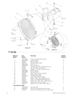

#### 5° lens tube

| <b>Reference</b><br><b>Number</b> | Part<br><b>Number</b> | <b>Description</b>                          | <b>Quantity</b><br><b>Required</b> |
|-----------------------------------|-----------------------|---------------------------------------------|------------------------------------|
|                                   | 7060A3095             | 5° lens tube assembly, painted              |                                    |
| 2                                 | 7060A4009             | Bushing, guide                              | 8                                  |
| 3                                 | <b>HW750</b>          | Spring, retainer                            |                                    |
| 4                                 | HW6122                | Bumper, recess rubber                       | 4                                  |
| 5                                 | 7060A4024             | Lens, 5°, 12"                               |                                    |
| 6                                 | 7060A3079             | Clip, gel retainer                          |                                    |
| $\overline{7}$                    | HW307                 | Screw, 8-32 x .38 lg, SPHMS, black zinc     | 4                                  |
| 8                                 | HW370                 | Nut, 8-32, 3/8, 1/4, black zinc             | 4                                  |
| 9                                 | HW3104                | Washer, .170 x .381 x .023, black zinc      | 4                                  |
| 10                                | 7060A3066             | Bracket, gel clip                           |                                    |
| 11                                | 7060A3086             | Clip, gel holder                            | 3                                  |
| 12                                | <b>HW759</b>          | Rivet, .125 x .125 lg. oval head            | 8                                  |
| 13                                | HW8170                | Handle, 10-32 inserts                       |                                    |
| 14                                | 7060A3073             | Handle backing plate                        |                                    |
| 15                                | HW467                 | Screw, 10-32 x 1/2 PHTRMS                   | 2                                  |
| 16                                | HW443                 | Washer, .195 x .410 x .025 black zinc       | 2                                  |
| 17                                | HW5197                | Screw, 1/4, 20x58 PHRMS, black zinc         |                                    |
| 18                                | HW5200                | Washer, SH, .253 x .281 x .438, black zinc  |                                    |
| 19                                | 7060A4008             | Knob, Z lamp, with male insert              |                                    |
| 20                                | HW5143                | Washer, Flt. 1/4, .252 x .500 x .060, FL    |                                    |
| 5° lens tube prior to 3/96        |                       |                                             |                                    |
| Α                                 | 7060A3065             | Clip, gel holder                            | 3                                  |
| B                                 | 7060A3081             | Gel ear mounting bracket with inserts       | 4                                  |
| C                                 | <b>HW396</b>          | Screw, 8-32 x 3/8, pan hd sems, black oxide | 8                                  |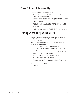## 5° and 10° lens tube assembly

Tools required: Phillips head screwdriver.

- 1. Place the lens tube assembly (1) on your work surface with the colorframe grooves to your left.
- 2. If you are assembling a  $5^\circ$  tube, attach the handle (14) as shown on page 14, using the screws (15), washers (16) and backing plate (18) indicated.
- 3. Install the required lens as shown on page 13 or 14 and tube using required bumpers (4), screws (7), nuts (8), and washers (9) as indicated.

**Note:** The side of lens with fresnel grooves should face the front of the tube. The smooth lens surface should face the rear.

## Cleaning 5° and 10° polymer lenses

**Caution:** Handle polymer lenses by their edges only. Never rub anything dry on a polymer lens. Do not use glass and window cleaners on the lens.

Remove dust with a blast of oil-free air. If this is not sufficient, follow the instructions below.

- 1. Dip lens in clean alcohol/water mixture (10% alcohol).
- 2. Use a moistened nylon bristle brush to wash the smooth side in a straight motion.
- 3. Use the same moistened brush to clean the ridged side, following the ridges, without hand pressure.
- 4. Dip lens in clean alcohol/water mixture (10% alcohol).
- 5. Use air gun to dry the smooth surface.
- 6. Use air gun to dry the ridged surface. Use air stream to move the liquid away from you. Continue to remove as much liquid as possible.
- 7. Inspect the lens for dirt. Repeat the entire process, as necessary.